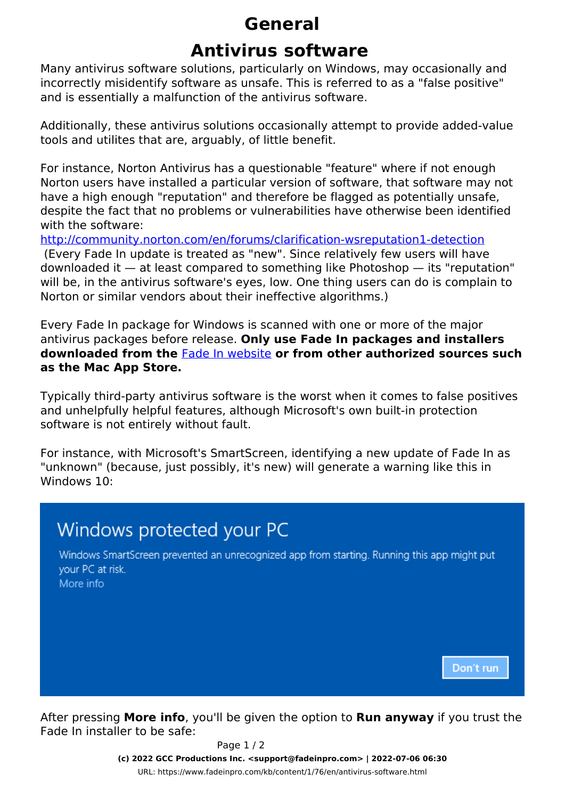## **General**

## **Antivirus software**

Many antivirus software solutions, particularly on Windows, may occasionally and incorrectly misidentify software as unsafe. This is referred to as a "false positive" and is essentially a malfunction of the antivirus software.

Additionally, these antivirus solutions occasionally attempt to provide added-value tools and utilites that are, arguably, of little benefit.

For instance, Norton Antivirus has a questionable "feature" where if not enough Norton users have installed a particular version of software, that software may not have a high enough "reputation" and therefore be flagged as potentially unsafe, despite the fact that no problems or vulnerabilities have otherwise been identified with the software:

<http://community.norton.com/en/forums/clarification-wsreputation1-detection> (Every Fade In update is treated as "new". Since relatively few users will have downloaded it — at least compared to something like Photoshop — its "reputation" will be, in the antivirus software's eyes, low. One thing users can do is complain to Norton or similar vendors about their ineffective algorithms.)

Every Fade In package for Windows is scanned with one or more of the major antivirus packages before release. **Only use Fade In packages and installers downloaded from the** Fade In website **or from other authorized sources such as the Mac App Store.**

Typically third-party antivirus software is the worst when it comes to false positives and unhelpfully helpful features, although Microsoft's own built-in protection software is not entirely without fault.

For instance, with Microsoft's SmartScreen, identifying a new update of Fade In as "unknown" (because, just possibly, it's new) will generate a warning like this in Windows 10:



After pressing **More info**, you'll be given the option to **Run anyway** if you trust the Fade In installer to be safe:

Page 1 / 2

**(c) 2022 GCC Productions Inc. <support@fadeinpro.com> | 2022-07-06 06:30**

[URL: https://www.fadeinpro.com/kb/content/1/76/en/antivirus-software.html](https://www.fadeinpro.com/kb/content/1/76/en/antivirus-software.html)